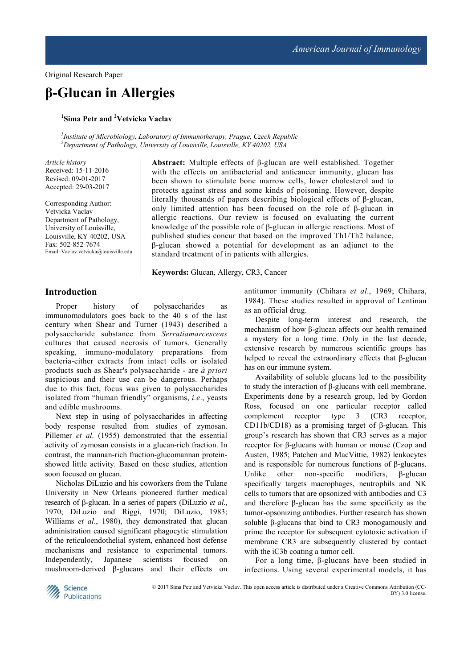Original Research Paper

# **β-Glucan in Allergies**

## **1 Sima Petr and <sup>2</sup>Vetvicka Vaclav**

*1 Institute of Microbiology, Laboratory of Immunotherapy, Prague, Czech Republic <sup>2</sup>Department of Pathology, University of Louisville, Louisville, KY 40202, USA* 

*Article history*  Received: 15-11-2016 Revised: 09-01-2017 Accepted: 29-03-2017

Corresponding Author: Vetvicka Vaclav Department of Pathology, University of Louisville, Louisville, KY 40202, USA Fax: 502-852-7674 Email: Vaclav.vetvicka@louisville.edu

**Abstract:** Multiple effects of β-glucan are well established. Together with the effects on antibacterial and anticancer immunity, glucan has been shown to stimulate bone marrow cells, lower cholesterol and to protects against stress and some kinds of poisoning. However, despite literally thousands of papers describing biological effects of β-glucan, only limited attention has been focused on the role of β-glucan in allergic reactions. Our review is focused on evaluating the current knowledge of the possible role of β-glucan in allergic reactions. Most of published studies concur that based on the improved Th1/Th2 balance, β-glucan showed a potential for development as an adjunct to the standard treatment of in patients with allergies.

**Keywords:** Glucan, Allergy, CR3, Cancer

## **Introduction**

Proper history of polysaccharides as immunomodulators goes back to the 40 s of the last century when Shear and Turner (1943) described a polysaccharide substance from *Serratiamarcescens* cultures that caused necrosis of tumors. Generally speaking, immuno-modulatory preparations from bacteria-either extracts from intact cells or isolated products such as Shear's polysaccharide - are *à priori*  suspicious and their use can be dangerous. Perhaps due to this fact, focus was given to polysaccharides isolated from "human friendly" organisms, *i.e*., yeasts and edible mushrooms.

Next step in using of polysaccharides in affecting body response resulted from studies of zymosan. Pillemer *et al*. (1955) demonstrated that the essential activity of zymosan consists in a glucan-rich fraction. In contrast, the mannan-rich fraction-glucomannan proteinshowed little activity. Based on these studies, attention soon focused on glucan.

Nicholas DiLuzio and his coworkers from the Tulane University in New Orleans pioneered further medical research of β-glucan. In a series of papers (DiLuzio *et al*., 1970; DiLuzio and Riggi, 1970; DiLuzio, 1983; Williams *et al*., 1980), they demonstrated that glucan administration caused significant phagocytic stimulation of the reticuloendothelial system, enhanced host defense mechanisms and resistance to experimental tumors. Independently, Japanese scientists focused on mushroom-derived β-glucans and their effects on

antitumor immunity (Chihara *et al*., 1969; Chihara, 1984). These studies resulted in approval of Lentinan as an official drug.

Despite long-term interest and research, the mechanism of how β-glucan affects our health remained a mystery for a long time. Only in the last decade, extensive research by numerous scientific groups has helped to reveal the extraordinary effects that β-glucan has on our immune system.

Availability of soluble glucans led to the possibility to study the interaction of β-glucans with cell membrane. Experiments done by a research group, led by Gordon Ross, focused on one particular receptor called complement receptor type 3 (CR3 receptor, CD11b/CD18) as a promising target of β-glucan. This group's research has shown that CR3 serves as a major receptor for β-glucans with human or mouse (Czop and Austen, 1985; Patchen and MacVittie, 1982) leukocytes and is responsible for numerous functions of β-glucans. Unlike other non-specific modifiers, β-glucan specifically targets macrophages, neutrophils and NK cells to tumors that are opsonized with antibodies and C3 and therefore β-glucan has the same specificity as the tumor-opsonizing antibodies. Further research has shown soluble β-glucans that bind to CR3 monogamously and prime the receptor for subsequent cytotoxic activation if membrane CR3 are subsequently clustered by contact with the iC3b coating a tumor cell.

For a long time, β-glucans have been studied in infections. Using several experimental models, it has



© 2017 Sima Petr and Vetvicka Vaclav. This open access article is distributed under a Creative Commons Attribution (CC-BY) 3.0 license.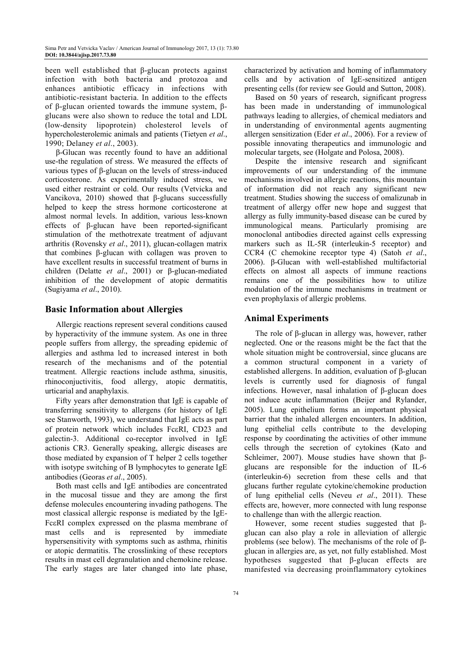been well established that β-glucan protects against infection with both bacteria and protozoa and enhances antibiotic efficacy in infections with antibiotic-resistant bacteria. In addition to the effects of β-glucan oriented towards the immune system, βglucans were also shown to reduce the total and LDL (low-density lipoprotein) cholesterol levels of hypercholesterolemic animals and patients (Tietyen *et al*., 1990; Delaney *et al*., 2003).

β-Glucan was recently found to have an additional use-the regulation of stress. We measured the effects of various types of β-glucan on the levels of stress-induced corticosterone. As experimentally induced stress, we used either restraint or cold. Our results (Vetvicka and Vancikova, 2010) showed that β-glucans successfully helped to keep the stress hormone corticosterone at almost normal levels. In addition, various less-known effects of β-glucan have been reported-significant stimulation of the methotrexate treatment of adjuvant arthritis (Rovensky *et al*., 2011), glucan-collagen matrix that combines β-glucan with collagen was proven to have excellent results in successful treatment of burns in children (Delatte *et al*., 2001) or β-glucan-mediated inhibition of the development of atopic dermatitis (Sugiyama *et al*., 2010).

## **Basic Information about Allergies**

Allergic reactions represent several conditions caused by hyperactivity of the immune system. As one in three people suffers from allergy, the spreading epidemic of allergies and asthma led to increased interest in both research of the mechanisms and of the potential treatment. Allergic reactions include asthma, sinusitis, rhinoconjuctivitis, food allergy, atopic dermatitis, urticarial and anaphylaxis.

Fifty years after demonstration that IgE is capable of transferring sensitivity to allergens (for history of IgE see Stanworth, 1993), we understand that IgE acts as part of protein network which includes FcεRI, CD23 and galectin-3. Additional co-receptor involved in IgE actionis CR3. Generally speaking, allergic diseases are those mediated by expansion of T helper 2 cells together with isotype switching of B lymphocytes to generate IgE antibodies (Georas *et al*., 2005).

Both mast cells and IgE antibodies are concentrated in the mucosal tissue and they are among the first defense molecules encountering invading pathogens. The most classical allergic response is mediated by the IgE-FcεRI complex expressed on the plasma membrane of mast cells and is represented by immediate hypersensitivity with symptoms such as asthma, rhinitis or atopic dermatitis. The crosslinking of these receptors results in mast cell degranulation and chemokine release. The early stages are later changed into late phase,

characterized by activation and homing of inflammatory cells and by activation of IgE-sensitized antigen presenting cells (for review see Gould and Sutton, 2008).

Based on 50 years of research, significant progress has been made in understanding of immunological pathways leading to allergies, of chemical mediators and in understanding of environmental agents augmenting allergen sensitization (Eder *et al*., 2006). For a review of possible innovating therapeutics and immunologic and molecular targets, see (Holgate and Polosa, 2008).

Despite the intensive research and significant improvements of our understanding of the immune mechanisms involved in allergic reactions, this mountain of information did not reach any significant new treatment. Studies showing the success of omalizunab in treatment of allergy offer new hope and suggest that allergy as fully immunity-based disease can be cured by immunological means. Particularly promising are monoclonal antibodies directed against cells expressing markers such as IL-5R (interleukin-5 receptor) and CCR4 (C chemokine receptor type 4) (Satoh *et al*., 2006). β-Glucan with well-established multifactorial effects on almost all aspects of immune reactions remains one of the possibilities how to utilize modulation of the immune mechanisms in treatment or even prophylaxis of allergic problems.

## **Animal Experiments**

The role of β-glucan in allergy was, however, rather neglected. One or the reasons might be the fact that the whole situation might be controversial, since glucans are a common structural component in a variety of established allergens. In addition, evaluation of β-glucan levels is currently used for diagnosis of fungal infections. However, nasal inhalation of β-glucan does not induce acute inflammation (Beijer and Rylander, 2005). Lung epithelium forms an important physical barrier that the inhaled allergen encounters. In addition, lung epithelial cells contribute to the developing response by coordinating the activities of other immune cells through the secretion of cytokines (Kato and Schleimer, 2007). Mouse studies have shown that βglucans are responsible for the induction of IL-6 (interleukin-6) secretion from these cells and that glucans further regulate cytokine/chemokine production of lung epithelial cells (Neveu *et al*., 2011). These effects are, however, more connected with lung response to challenge than with the allergic reaction.

However, some recent studies suggested that βglucan can also play a role in alleviation of allergic problems (see below). The mechanisms of the role of βglucan in allergies are, as yet, not fully established. Most hypotheses suggested that β-glucan effects are manifested via decreasing proinflammatory cytokines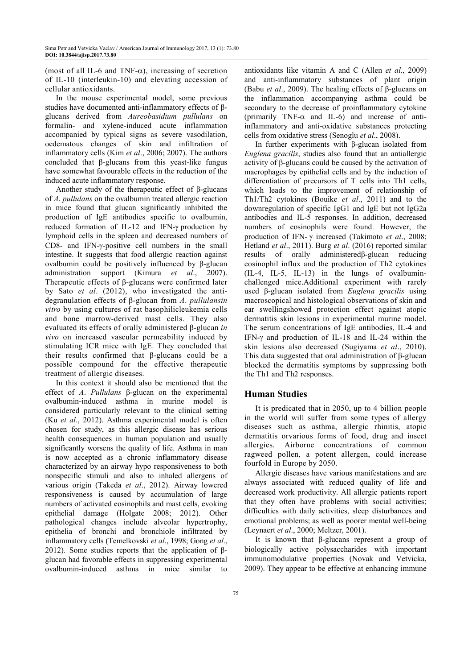(most of all IL-6 and TNF- $\alpha$ ), increasing of secretion of IL-10 (interleukin-10) and elevating accession of cellular antioxidants.

In the mouse experimental model, some previous studies have documented anti-inflammatory effects of βglucans derived from *Aureobasidium pullulans* on formalin- and xylene-induced acute inflammation accompanied by typical signs as severe vasodilation, oedematous changes of skin and infiltration of inflammatory cells (Kim *et al*., 2006; 2007). The authors concluded that β-glucans from this yeast-like fungus have somewhat favourable effects in the reduction of the induced acute inflammatory response.

Another study of the therapeutic effect of β-glucans of *A*. *pullulans* on the ovalbumin treated allergic reaction in mice found that glucan significantly inhibited the production of IgE antibodies specific to ovalbumin, reduced formation of IL-12 and IFN-γ production by lymphoid cells in the spleen and decreased numbers of CD8- and IFN-γ-positive cell numbers in the small intestine. It suggests that food allergic reaction against ovalbumin could be positively influenced by β-glucan administration support (Kimura *et al*., 2007). Therapeutic effects of β-glucans were confirmed later by Sato *et al*. (2012), who investigated the antidegranulation effects of β-glucan from *A*. *pullulansin vitro* by using cultures of rat basophilicleukemia cells and bone marrow-derived mast cells. They also evaluated its effects of orally administered β-glucan *in vivo* on increased vascular permeability induced by stimulating ICR mice with IgE. They concluded that their results confirmed that β-glucans could be a possible compound for the effective therapeutic treatment of allergic diseases.

In this context it should also be mentioned that the effect of *A*. *Pullulans* β-glucan on the experimental ovalbumin-induced asthma in murine model is considered particularly relevant to the clinical setting (Ku *et al*., 2012). Asthma experimental model is often chosen for study, as this allergic disease has serious health consequences in human population and usually significantly worsens the quality of life. Asthma in man is now accepted as a chronic inflammatory disease characterized by an airway hypo responsiveness to both nonspecific stimuli and also to inhaled allergens of various origin (Takeda *et al*., 2012). Airway lowered responsiveness is caused by accumulation of large numbers of activated eosinophils and mast cells, evoking epithelial damage (Holgate 2008; 2012). Other pathological changes include alveolar hypertrophy, epithelia of bronchi and bronchiole infiltrated by inflammatory cells (Temelkovski *et al*., 1998; Gong *et al*., 2012). Some studies reports that the application of βglucan had favorable effects in suppressing experimental ovalbumin-induced asthma in mice similar to

antioxidants like vitamin A and C (Allen *et al*., 2009) and anti-inflammatory substances of plant origin (Babu *et al*., 2009). The healing effects of β-glucans on the inflammation accompanying asthma could be secondary to the decrease of proinflammatory cytokine (primarily TNF- $\alpha$  and IL-6) and increase of antiinflammatory and anti-oxidative substances protecting cells from oxidative stress (Senoglu *et al*., 2008).

In further experiments with β-glucan isolated from *Euglena gracilis*, studies also found that an antiallergic activity of β-glucans could be caused by the activation of macrophages by epithelial cells and by the induction of differentiation of precursors of T cells into Th1 cells, which leads to the improvement of relationship of Th1/Th2 cytokines (Bouike *et al*., 2011) and to the downregulation of specific IgG1 and IgE but not IgG2a antibodies and IL-5 responses. In addition, decreased numbers of eosinophils were found. However, the production of IFN- γ increased (Takimoto *et al*., 2008; Hetland *et al*., 2011). Burg *et al*. (2016) reported similar results of orally administeredβ-glucan reducing eosinophil influx and the production of Th2 cytokines (IL-4, IL-5, IL-13) in the lungs of ovalbuminchallenged mice.Additional experiment with rarely used β-glucan isolated from *Euglena gracilis* using macroscopical and histological observations of skin and ear swellingshowed protection effect against atopic dermatitis skin lesions in experimental murine model. The serum concentrations of IgE antibodies, IL-4 and IFN-γ and production of IL-18 and IL-24 within the skin lesions also decreased (Sugiyama *et al*., 2010). This data suggested that oral administration of β-glucan blocked the dermatitis symptoms by suppressing both the Th1 and Th2 responses.

# **Human Studies**

It is predicated that in 2050, up to 4 billion people in the world will suffer from some types of allergy diseases such as asthma, allergic rhinitis, atopic dermatitis orvarious forms of food, drug and insect allergies. Airborne concentrations of common ragweed pollen, a potent allergen, could increase fourfold in Europe by 2050.

Allergic diseases have various manifestations and are always associated with reduced quality of life and decreased work productivity. All allergic patients report that they often have problems with social activities; difficulties with daily activities, sleep disturbances and emotional problems; as well as poorer mental well-being (Leynaert *et al*., 2000; Meltzer, 2001).

It is known that β-glucans represent a group of biologically active polysaccharides with important immunomodulative properties (Novak and Vetvicka, 2009). They appear to be effective at enhancing immune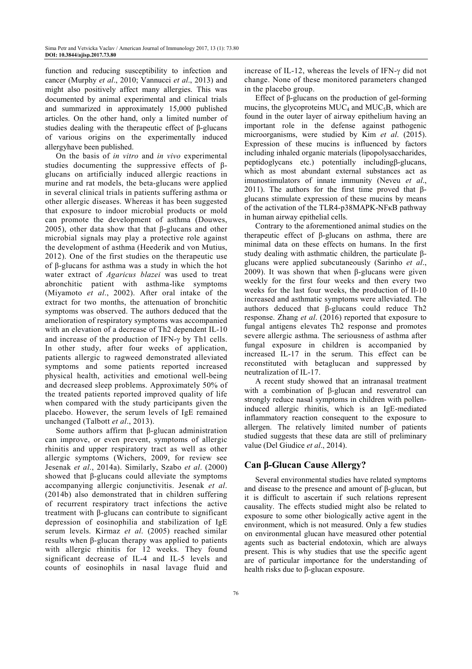function and reducing susceptibility to infection and cancer (Murphy *et al*., 2010; Vannucci *et al*., 2013) and might also positively affect many allergies. This was documented by animal experimental and clinical trials and summarized in approximately 15,000 published articles. On the other hand, only a limited number of studies dealing with the therapeutic effect of β-glucans of various origins on the experimentally induced allergyhave been published.

On the basis of *in vitro* and *in vivo* experimental studies documenting the suppressive effects of βglucans on artificially induced allergic reactions in murine and rat models, the beta-glucans were applied in several clinical trials in patients suffering asthma or other allergic diseases. Whereas it has been suggested that exposure to indoor microbial products or mold can promote the development of asthma (Douwes, 2005), other data show that that  $β$ -glucans and other microbial signals may play a protective role against the development of asthma (Heederik and von Mutius, 2012). One of the first studies on the therapeutic use of β-glucans for asthma was a study in which the hot water extract of *Agaricus blazei* was used to treat abronchitic patient with asthma-like symptoms (Miyamoto *et al*., 2002). After oral intake of the extract for two months, the attenuation of bronchitic symptoms was observed. The authors deduced that the amelioration of respiratory symptoms was accompanied with an elevation of a decrease of Th<sub>2</sub> dependent IL-10 and increase of the production of IFN-γ by Th1 cells. In other study, after four weeks of application, patients allergic to ragweed demonstrated alleviated symptoms and some patients reported increased physical health, activities and emotional well-being and decreased sleep problems. Approximately 50% of the treated patients reported improved quality of life when compared with the study participants given the placebo. However, the serum levels of IgE remained unchanged (Talbott *et al*., 2013).

Some authors affirm that β-glucan administration can improve, or even prevent, symptoms of allergic rhinitis and upper respiratory tract as well as other allergic symptoms (Wichers, 2009, for review see Jesenak *et al*., 2014a). Similarly, Szabo *et al*. (2000) showed that β-glucans could alleviate the symptoms accompanying allergic conjunctivitis. Jesenak *et al*. (2014b) also demonstrated that in children suffering of recurrent respiratory tract infections the active treatment with β-glucans can contribute to significant depression of eosinophilia and stabilization of IgE serum levels. Kirmaz *et al*. (2005) reached similar results when β-glucan therapy was applied to patients with allergic rhinitis for 12 weeks. They found significant decrease of IL-4 and IL-5 levels and counts of eosinophils in nasal lavage fluid and

increase of IL-12, whereas the levels of IFN-γ did not change. None of these monitored parameters changed in the placebo group.

Effect of β-glucans on the production of gel-forming mucins, the glycoproteins  $MUC_4$  and  $MUC_5B$ , which are found in the outer layer of airway epithelium having an important role in the defense against pathogenic microorganisms, were studied by Kim *et al*. (2015). Expression of these mucins is influenced by factors including inhaled organic materials (lipopolysaccharides, peptidoglycans etc.) potentially includingβ-glucans, which as most abundant external substances act as imunostimulators of innate immunity (Neveu *et al*., 2011). The authors for the first time proved that βglucans stimulate expression of these mucins by means of the activation of the TLR4-p38MAPK-NFκB pathway in human airway epithelial cells.

Contrary to the aforementioned animal studies on the therapeutic effect of β-glucans on asthma, there are minimal data on these effects on humans. In the first study dealing with asthmatic children, the particulate βglucans were applied subcutaneously (Sarinho *et al*., 2009). It was shown that when β-glucans were given weekly for the first four weeks and then every two weeks for the last four weeks, the production of Il-10 increased and asthmatic symptoms were alleviated. The authors deduced that β-glucans could reduce Th2 response. Zhang *et al*. (2016) reported that exposure to fungal antigens elevates Th2 response and promotes severe allergic asthma. The seriousness of asthma after fungal exposure in children is accompanied by increased IL-17 in the serum. This effect can be reconstituted with betaglucan and suppressed by neutralization of IL-17.

A recent study showed that an intranasal treatment with a combination of β-glucan and resveratrol can strongly reduce nasal symptoms in children with polleninduced allergic rhinitis, which is an IgE-mediated inflammatory reaction consequent to the exposure to allergen. The relatively limited number of patients studied suggests that these data are still of preliminary value (Del Giudice *et al*., 2014).

# **Can β-Glucan Cause Allergy?**

Several environmental studies have related symptoms and disease to the presence and amount of β-glucan, but it is difficult to ascertain if such relations represent causality. The effects studied might also be related to exposure to some other biologically active agent in the environment, which is not measured. Only a few studies on environmental glucan have measured other potential agents such as bacterial endotoxin, which are always present. This is why studies that use the specific agent are of particular importance for the understanding of health risks due to β-glucan exposure.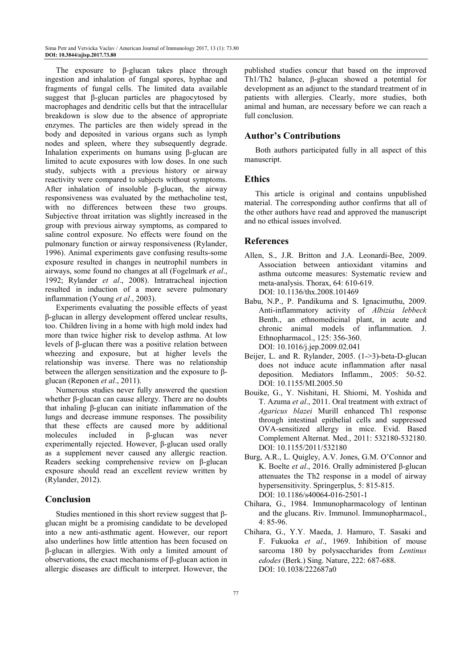The exposure to β-glucan takes place through ingestion and inhalation of fungal spores, hyphae and fragments of fungal cells. The limited data available suggest that β-glucan particles are phagocytosed by macrophages and dendritic cells but that the intracellular breakdown is slow due to the absence of appropriate enzymes. The particles are then widely spread in the body and deposited in various organs such as lymph nodes and spleen, where they subsequently degrade. Inhalation experiments on humans using β-glucan are limited to acute exposures with low doses. In one such study, subjects with a previous history or airway reactivity were compared to subjects without symptoms. After inhalation of insoluble β-glucan, the airway responsiveness was evaluated by the methacholine test, with no differences between these two groups. Subjective throat irritation was slightly increased in the group with previous airway symptoms, as compared to saline control exposure. No effects were found on the pulmonary function or airway responsiveness (Rylander, 1996). Animal experiments gave confusing results-some exposure resulted in changes in neutrophil numbers in airways, some found no changes at all (Fogelmark *et al*., 1992; Rylander *et al*., 2008). Intratracheal injection resulted in induction of a more severe pulmonary inflammation (Young *et al*., 2003).

Experiments evaluating the possible effects of yeast β-glucan in allergy development offered unclear results, too. Children living in a home with high mold index had more than twice higher risk to develop asthma. At low levels of β-glucan there was a positive relation between wheezing and exposure, but at higher levels the relationship was inverse. There was no relationship between the allergen sensitization and the exposure to βglucan (Reponen *et al*., 2011).

Numerous studies never fully answered the question whether β-glucan can cause allergy. There are no doubts that inhaling β-glucan can initiate inflammation of the lungs and decrease immune responses. The possibility that these effects are caused more by additional molecules included in β-glucan was never experimentally rejected. However, β-glucan used orally as a supplement never caused any allergic reaction. Readers seeking comprehensive review on β-glucan exposure should read an excellent review written by (Rylander, 2012).

## **Conclusion**

Studies mentioned in this short review suggest that βglucan might be a promising candidate to be developed into a new anti-asthmatic agent. However, our report also underlines how little attention has been focused on β-glucan in allergies. With only a limited amount of observations, the exact mechanisms of β-glucan action in allergic diseases are difficult to interpret. However, the

published studies concur that based on the improved Th1/Th2 balance, β-glucan showed a potential for development as an adjunct to the standard treatment of in patients with allergies. Clearly, more studies, both animal and human, are necessary before we can reach a full conclusion.

## **Author's Contributions**

Both authors participated fully in all aspect of this manuscript.

#### **Ethics**

This article is original and contains unpublished material. The corresponding author confirms that all of the other authors have read and approved the manuscript and no ethical issues involved.

## **References**

- Allen, S., J.R. Britton and J.A. Leonardi-Bee, 2009. Association between antioxidant vitamins and asthma outcome measures: Systematic review and meta-analysis. Thorax, 64: 610-619. DOI: 10.1136/thx.2008.101469
- Babu, N.P., P. Pandikuma and S. Ignacimuthu, 2009. Anti-inflammatory activity of *Albizia lebbeck* Benth., an ethnomedicinal plant, in acute and chronic animal models of inflammation. J. Ethnopharmacol., 125: 356-360. DOI: 10.1016/j.jep.2009.02.041
- Beijer, L. and R. Rylander, 2005. (1->3)-beta-D-glucan does not induce acute inflammation after nasal deposition. Mediators Inflamm., 2005: 50-52. DOI: 10.1155/MI.2005.50
- Bouike, G., Y. Nishitani, H. Shiomi, M. Yoshida and T. Azuma *et al*., 2011. Oral treatment with extract of *Agaricus blazei* Murill enhanced Th1 response through intestinal epithelial cells and suppressed OVA-sensitized allergy in mice. Evid. Based Complement Alternat. Med., 2011: 532180-532180. DOI: 10.1155/2011/532180
- Burg, A.R., L. Quigley, A.V. Jones, G.M. O'Connor and K. Boelte *et al*., 2016. Orally administered β-glucan attenuates the Th2 response in a model of airway hypersensitivity. Springerplus, 5: 815-815. DOI: 10.1186/s40064-016-2501-1
- Chihara, G., 1984. Immunopharmacology of lentinan and the glucans. Riv. Immunol. Immunopharmacol., 4: 85-96.
- Chihara, G., Y.Y. Maeda, J. Hamuro, T. Sasaki and F. Fukuoka *et al*., 1969. Inhibition of mouse sarcoma 180 by polysaccharides from *Lentinus edodes* (Berk.) Sing. Nature, 222: 687-688. DOI: 10.1038/222687a0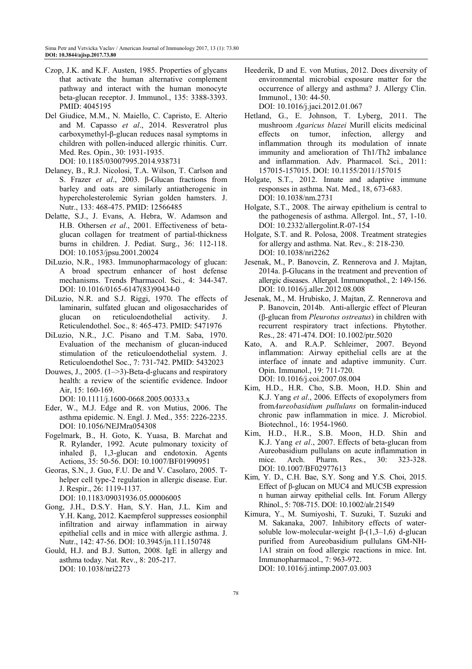- Czop, J.K. and K.F. Austen, 1985. Properties of glycans that activate the human alternative complement pathway and interact with the human monocyte beta-glucan receptor. J. Immunol., 135: 3388-3393. PMID: 4045195
- Del Giudice, M.M., N. Maiello, C. Capristo, E. Alterio and M. Capasso *et al*., 2014. Resveratrol plus carboxymethyl-β-glucan reduces nasal symptoms in children with pollen-induced allergic rhinitis. Curr. Med. Res. Opin., 30: 1931-1935. DOI: 10.1185/03007995.2014.938731
- Delaney, B., R.J. Nicolosi, T.A. Wilson, T. Carlson and S. Frazer *et al*., 2003. β-Glucan fractions from barley and oats are similarly antiatherogenic in hypercholesterolemic Syrian golden hamsters. J. Nutr., 133: 468-475. PMID: 12566485
- Delatte, S.J., J. Evans, A. Hebra, W. Adamson and H.B. Othersen *et al*., 2001. Effectiveness of betaglucan collagen for treatment of partial-thickness burns in children. J. Pediat. Surg., 36: 112-118. DOI: 10.1053/jpsu.2001.20024
- DiLuzio, N.R., 1983. Immunopharmacology of glucan: A broad spectrum enhancer of host defense mechanisms. Trends Pharmacol. Sci., 4: 344-347. DOI: 10.1016/0165-6147(83)90434-0
- DiLuzio, N.R. and S.J. Riggi, 1970. The effects of laminarin, sulfated glucan and oligosaccharides of glucan on reticuloendothelial activity. J. Reticulendothel. Soc., 8: 465-473. PMID: 5471976
- DiLuzio, N.R., J.C. Pisano and T.M. Saba, 1970. Evaluation of the mechanism of glucan-induced stimulation of the reticuloendothelial system. J. Reticuloendothel Soc., 7: 731-742. PMID: 5432023
- Douwes, J., 2005. (1–>3)-Beta-d-glucans and respiratory health: a review of the scientific evidence. Indoor Air, 15: 160-169.

DOI: 10.1111/j.1600-0668.2005.00333.x

- Eder, W., M.J. Edge and R. von Mutius, 2006. The asthma epidemic. N. Engl. J. Med., 355: 2226-2235. DOI: 10.1056/NEJMra054308
- Fogelmark, B., H. Goto, K. Yuasa, B. Marchat and R. Rylander, 1992. Acute pulmonary toxicity of inhaled β, 1,3-glucan and endotoxin. Agents Actions, 35: 50-56. DOI: 10.1007/BF01990951
- Georas, S.N., J. Guo, F.U. De and V. Casolaro, 2005. Thelper cell type-2 regulation in allergic disease. Eur. J. Respir., 26: 1119-1137.

DOI: 10.1183/09031936.05.00006005

- Gong, J.H., D.S.Y. Han, S.Y. Han, J.L. Kim and Y.H. Kang, 2012. Kaempferol suppresses eosionphil infiltration and airway inflammation in airway epithelial cells and in mice with allergic asthma. J. Nutr., 142: 47-56. DOI: 10.3945/jn.111.150748
- Gould, H.J. and B.J. Sutton, 2008. IgE in allergy and asthma today. Nat. Rev., 8: 205-217. DOI: 10.1038/nri2273

Heederik, D and E. von Mutius, 2012. Does diversity of environmental microbial exposure matter for the occurrence of allergy and asthma? J. Allergy Clin. Immunol., 130: 44-50.

DOI: 10.1016/j.jaci.2012.01.067

- Hetland, G., E. Johnson, T. Lyberg, 2011. The mushroom *Agaricus blazei* Murill elicits medicinal effects on tumor, infection, allergy and inflammation through its modulation of innate immunity and amelioration of Th1/Th2 imbalance and inflammation. Adv. Pharmacol. Sci., 2011: 157015-157015. DOI: 10.1155/2011/157015
- Holgate, S.T., 2012. Innate and adaptive immune responses in asthma. Nat. Med., 18, 673-683. DOI: 10.1038/nm.2731
- Holgate, S.T., 2008. The airway epithelium is central to the pathogenesis of asthma. Allergol. Int., 57, 1-10. DOI: 10.2332/allergolint.R-07-154
- Holgate, S.T. and R. Polosa, 2008. Treatment strategies for allergy and asthma. Nat. Rev., 8: 218-230. DOI: 10.1038/nri2262
- Jesenak, M., P. Banovcin, Z. Rennerova and J. Majtan, 2014a. β-Glucans in the treatment and prevention of allergic diseases. Allergol. Immunopathol., 2: 149-156. DOI: 10.1016/j.aller.2012.08.008
- Jesenak, M., M. Hrubisko, J. Majtan, Z. Rennerova and P. Banovcin, 2014b. Anti-allergic effect of Pleuran (β-glucan from *Pleurotus ostreatus*) in children with recurrent respiratory tract infections. Phytother. Res., 28: 471-474. DOI: 10.1002/ptr.5020
- Kato, A. and R.A.P. Schleimer, 2007. Beyond inflammation: Airway epithelial cells are at the interface of innate and adaptive immunity. Curr. Opin. Immunol., 19: 711-720. DOI: 10.1016/j.coi.2007.08.004
- Kim, H.D., H.R. Cho, S.B. Moon, H.D. Shin and K.J. Yang *et al*., 2006. Effects of exopolymers from from*Aureobasidium pullulans* on formalin-induced chronic paw inflammation in mice. J. Microbiol. Biotechnol., 16: 1954-1960.
- Kim, H.D., H.R., S.B. Moon, H.D. Shin and K.J. Yang *et al*., 2007. Effects of beta-glucan from Aureobasidium pullulans on acute inflammation in mice. Arch. Pharm. Res., 30: 323-328. DOI: 10.1007/BF02977613
- Kim, Y. D., C.H. Bae, S.Y. Song and Y.S. Choi, 2015. Effect of β-glucan on MUC4 and MUC5B expression n human airway epithelial cells. Int. Forum Allergy Rhinol., 5: 708-715. DOI: 10.1002/alr.21549
- Kimura, Y., M. Sumiyoshi, T. Suzuki, T. Suzuki and M. Sakanaka, 2007. Inhibitory effects of watersoluble low-molecular-weight  $β-(1,3-1,6)$  d-glucan purified from Aureobasidium pullulans GM-NH-1A1 strain on food allergic reactions in mice. Int. Immunopharmacol., 7: 963-972. DOI: 10.1016/j.intimp.2007.03.003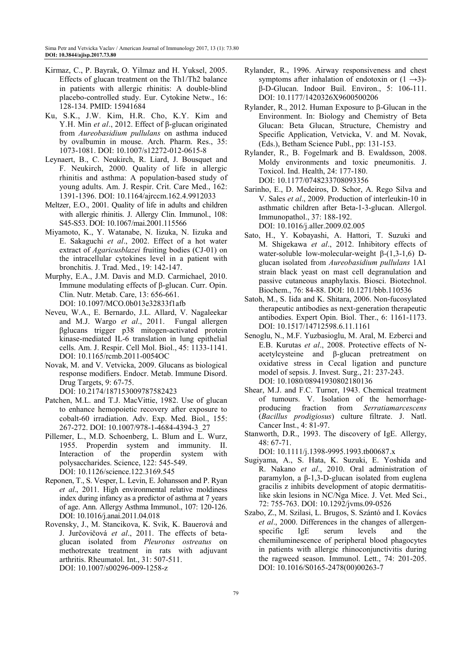- Kirmaz, C., P. Bayrak, O. Yilmaz and H. Yuksel, 2005. Effects of glucan treatment on the Th1/Th2 balance in patients with allergic rhinitis: A double-blind placebo-controlled study. Eur. Cytokine Netw., 16: 128-134. PMID: 15941684
- Ku, S.K., J.W. Kim, H.R. Cho, K.Y. Kim and Y.H. Min *et al*., 2012. Effect of β-glucan originated from *Aureobasidium pullulans* on asthma induced by ovalbumin in mouse. Arch. Pharm. Res., 35: 1073-1081. DOI: 10.1007/s12272-012-0615-8
- Leynaert, B., C. Neukirch, R. Liard, J. Bousquet and F. Neukirch, 2000. Quality of life in allergic rhinitis and asthma: A population-based study of young adults. Am. J. Respir. Crit. Care Med., 162: 1391-1396. DOI: 10.1164/ajrccm.162.4.9912033
- Meltzer, E.O., 2001. Quality of life in adults and children with allergic rhinitis. J. Allergy Clin. Immunol., 108: S45-S53. DOI: 10.1067/mai.2001.115566
- Miyamoto, K., Y. Watanabe, N. Iizuka, N. Iizuka and E. Sakaguchi *et al*., 2002. Effect of a hot water extract of *Agaricusblazei* fruiting bodies (CJ-01) on the intracellular cytokines level in a patient with bronchitis. J. Trad. Med., 19: 142-147.
- Murphy, E.A., J.M. Davis and M.D. Carmichael, 2010. Immune modulating effects of β-glucan. Curr. Opin. Clin. Nutr. Metab. Care, 13: 656-661. DOI: 10.1097/MCO.0b013e32833f1afb
- Neveu, W.A., E. Bernardo, J.L. Allard, V. Nagaleekar and M.J. Wargo *et al*., 2011. Fungal allergen βglucans trigger p38 mitogen-activated protein kinase-mediated IL-6 translation in lung epithelial cells. Am. J. Respir. Cell Mol. Biol., 45: 1133-1141. DOI: 10.1165/rcmb.2011-0054OC
- Novak, M. and V. Vetvicka, 2009. Glucans as biological response modifiers. Endocr. Metab. Immune Disord. Drug Targets, 9: 67-75. DOI: 10.2174/187153009787582423
- Patchen, M.L. and T.J. MacVittie, 1982. Use of glucan to enhance hemopoietic recovery after exposure to cobalt-60 irradiation. Adv. Exp. Med. Biol., 155: 267-272. DOI: 10.1007/978-1-4684-4394-3\_27
- Pillemer, L., M.D. Schoenberg, L. Blum and L. Wurz, 1955. Properdin system and immunity. II. Interaction of the properdin system with polysaccharides. Science, 122: 545-549. DOI: 10.1126/science.122.3169.545
- Reponen, T., S. Vesper, L. Levin, E. Johansson and P. Ryan *et al*., 2011. High environmental relative moldiness index during infancy as a predictor of asthma at 7 years of age. Ann. Allergy Asthma Immunol., 107: 120-126. DOI: 10.1016/j.anai.2011.04.018
- Rovensky, J., M. Stancikova, K. Svik, K. Bauerová and J. Jurčovičová *et al*., 2011. The effects of betaglucan isolated from *Pleurotus ostreatus* on methotrexate treatment in rats with adjuvant arthritis. Rheumatol. Int., 31: 507-511. DOI: 10.1007/s00296-009-1258-z
- Rylander, R., 1996. Airway responsiveness and chest symptoms after inhalation of endotoxin or  $(1 \rightarrow 3)$ β-D-Glucan. Indoor Buil. Environ., 5: 106-111. DOI: 10.1177/1420326X9600500206
- Rylander, R., 2012. Human Exposure to β-Glucan in the Environment. In: Biology and Chemistry of Beta Glucan: Beta Glucan, Structure, Chemistry and Specific Application, Vetvicka, V. and M. Novak, (Eds.), Betham Science Publ., pp: 131-153.
- Rylander, R., B. Fogelmark and B. Ewaldsson, 2008. Moldy environments and toxic pneumonitis. J. Toxicol. Ind. Health, 24: 177-180. DOI: 10.1177/0748233708093356
- Sarinho, E., D. Medeiros, D. Schor, A. Rego Silva and V. Sales *et al*., 2009. Production of interleukin-10 in asthmatic children after Beta-1-3-glucan. Allergol. Immunopathol., 37: 188-192. DOI: 10.1016/j.aller.2009.02.005
- Sato, H., Y. Kobayashi, A. Hattori, T. Suzuki and M. Shigekawa *et al*., 2012. Inhibitory effects of water-soluble low-molecular-weight  $β-(1,3-1,6)$  Dglucan isolated from *Aureobasidium pullulans* 1A1 strain black yeast on mast cell degranulation and passive cutaneous anaphylaxis. Biosci. Biotechnol. Biochem., 76: 84-88. DOI: 10.1271/bbb.110536
- Satoh, M., S. Iida and K. Shitara, 2006. Non-fucosylated therapeutic antibodies as next-generation therapeutic antibodies. Expert Opin. Biol. Ther., 6: 1161-1173. DOI: 10.1517/14712598.6.11.1161
- Senoglu, N., M.F. Yuzbasioglu, M. Aral, M. Ezberci and E.B. Kurutas *et al*., 2008. Protective effects of Nacetylcysteine and β-glucan pretreatment on oxidative stress in Cecal ligation and puncture model of sepsis. J. Invest. Surg., 21: 237-243. DOI: 10.1080/08941930802180136
- Shear, M.J. and F.C. Turner, 1943. Chemical treatment of tumours. V. Isolation of the hemorrhageproducing fraction from *Serratiamarcescens* (*Bacillus prodigiosus*) culture filtrate. J. Natl. Cancer Inst., 4: 81-97.
- Stanworth, D.R., 1993. The discovery of IgE. Allergy, 48: 67-71.

DOI: 10.1111/j.1398-9995.1993.tb00687.x

- Sugiyama, A., S. Hata, K. Suzuki, E. Yoshida and R. Nakano *et al*., 2010. Oral administration of paramylon, a β-1,3-D-glucan isolated from euglena gracilis z inhibits development of atopic dermatitislike skin lesions in NC/Nga Mice. J. Vet. Med Sci., 72: 755-763. DOI: 10.1292/jvms.09-0526
- Szabo, Z., M. Szilasi, L. Brugos, S. Szántó and I. Kovács *et al*., 2000. Differences in the changes of allergenspecific IgE serum levels and the chemiluminescence of peripheral blood phagocytes in patients with allergic rhinoconjunctivitis during the ragweed season. Immunol. Lett., 74: 201-205. DOI: 10.1016/S0165-2478(00)00263-7